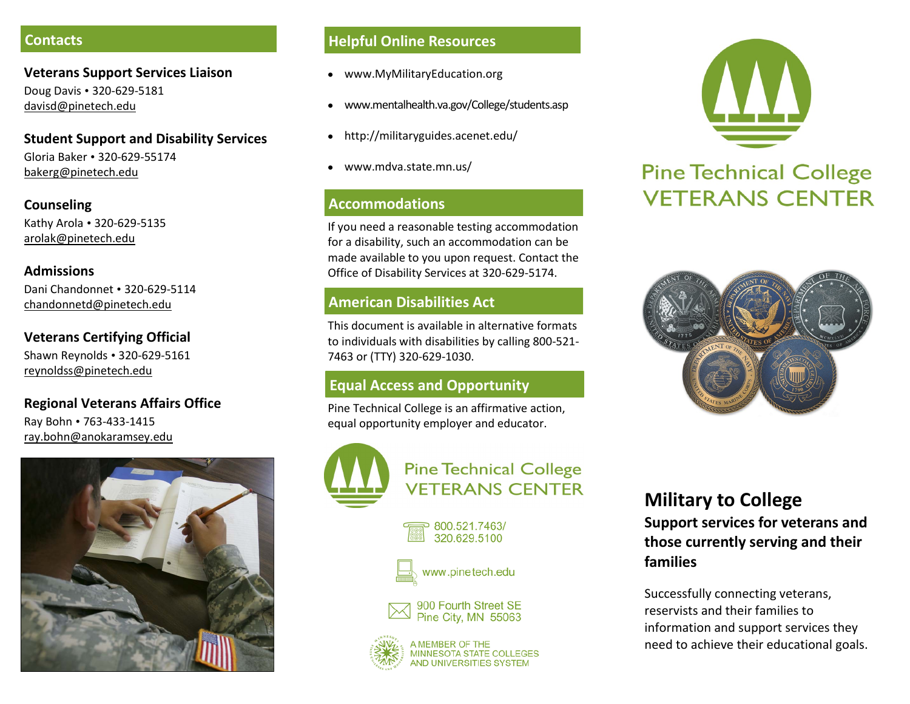#### **Contacts**

#### **Veterans Support Services Liaison** Doug Davis • 320-629-5181

davisd@pinetech.edu

### **Student Support and Disability Services**

Gloria Baker • 320-629-55174 bakerg@pinetech.edu

**Counseling**  Kathy Arola • 320-629-5135 arolak@pinetech.edu

#### **Admissions**

Dani Chandonnet • 320-629-5114 chandonnetd@pinetech.edu

# **Veterans Certifying Official**

Shawn Reynolds • 320-629-5161 reynoldss@pinetech.edu

#### **Regional Veterans Affairs Office**

Ray Bohn • 763-433-1415 ray.bohn@anokaramsey.edu



#### **Helpful Online Resources**

- www.MyMilitaryEducation.org
- www.mentalhealth.va.gov/College/students.asp
- http://militaryguides.acenet.edu/  $\bullet$
- www.mdva.state.mn.us/

## **Accommodations**

If you need a reasonable testing accommodation for a disability, such an accommodation can be made available to you upon request. Contact the Office of Disability Services at 320-629-5174.

# **American Disabilities Act**

This document is available in alternative formats to individuals with disabilities by calling 800-521- 7463 or (TTY) 320-629-1030.

# **Equal Access and Opportunity**

Pine Technical College is an affirmative action, equal opportunity employer and educator.



**Pine Technical College VETERANS CENTER** 

#### 800.521.7463/ 320.629.5100



# www.pinetech.edu



**MEMBER OF THE** MINNESOTA STATE COLLEGES **AND UNIVERSITIES SYSTEM** 



# **Pine Technical College VETERANS CENTER**



# **Military to College Support services for veterans and**

**those currently serving and their families**

Successfully connecting veterans, reservists and their families to information and support services they need to achieve their educational goals.